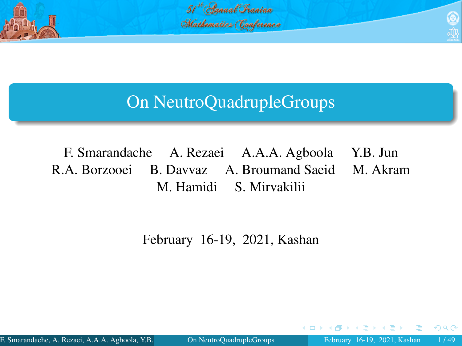

51 Canual Chanian Mathematics Conference



# On NeutroQuadrupleGroups

F. Smarandache A. Rezaei A.A.A. Agboola Y.B. Jun R.A. Borzooei B. Davvaz A. Broumand Saeid M. Akram M. Hamidi S. Mirvakilii

<span id="page-0-0"></span>February 16-19, 2021, Kashan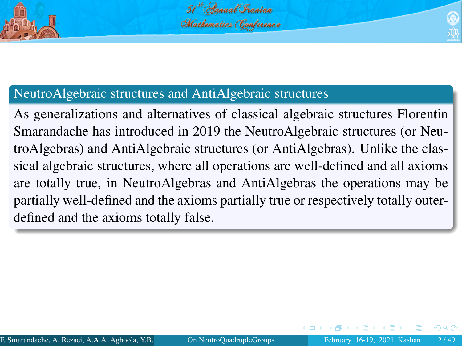

### NeutroAlgebraic structures and AntiAlgebraic structures

<span id="page-1-0"></span>As generalizations and alternatives of classical algebraic structures Florentin Smarandache has introduced in 2019 the NeutroAlgebraic structures (or NeutroAlgebras) and AntiAlgebraic structures (or AntiAlgebras). Unlike the classical algebraic structures, where all operations are well-defined and all axioms are totally true, in NeutroAlgebras and AntiAlgebras the operations may be partially well-defined and the axioms partially true or respectively totally outerdefined and the axioms totally false.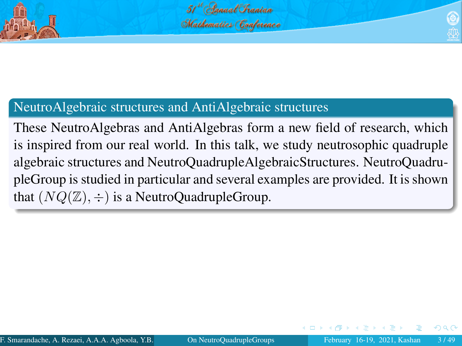

### NeutroAlgebraic structures and AntiAlgebraic structures

<span id="page-2-0"></span>These NeutroAlgebras and AntiAlgebras form a new field of research, which is inspired from our real world. In this talk, we study neutrosophic quadruple algebraic structures and NeutroQuadrupleAlgebraicStructures. NeutroQuadrupleGroup is studied in particular and several examples are provided. It is shown that  $(NQ(\mathbb{Z}), \div)$  is a NeutroQuadrupleGroup.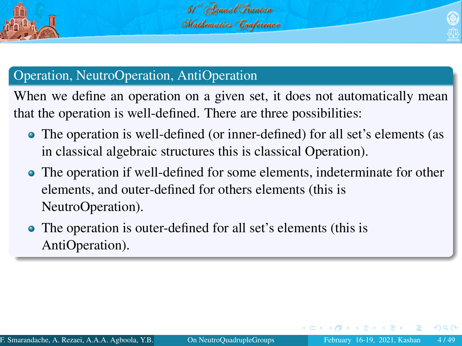

# Operation, NeutroOperation, AntiOperation

When we define an operation on a given set, it does not automatically mean that the operation is well-defined. There are three possibilities:

- The operation is well-defined (or inner-defined) for all set's elements (as in classical algebraic structures this is classical Operation).
- The operation if well-defined for some elements, indeterminate for other elements, and outer-defined for others elements (this is NeutroOperation).
- <span id="page-3-0"></span>• The operation is outer-defined for all set's elements (this is AntiOperation).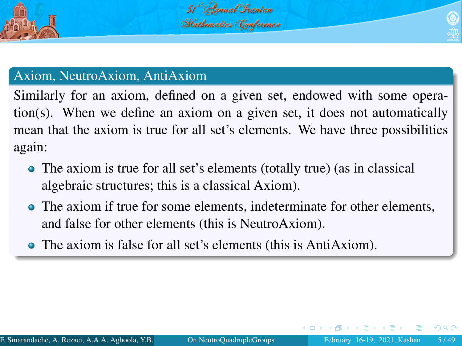

# Axiom, NeutroAxiom, AntiAxiom

Similarly for an axiom, defined on a given set, endowed with some operation(s). When we define an axiom on a given set, it does not automatically mean that the axiom is true for all set's elements. We have three possibilities again:

- The axiom is true for all set's elements (totally true) (as in classical algebraic structures; this is a classical Axiom).
- The axiom if true for some elements, indeterminate for other elements, and false for other elements (this is NeutroAxiom).
- <span id="page-4-0"></span>The axiom is false for all set's elements (this is AntiAxiom).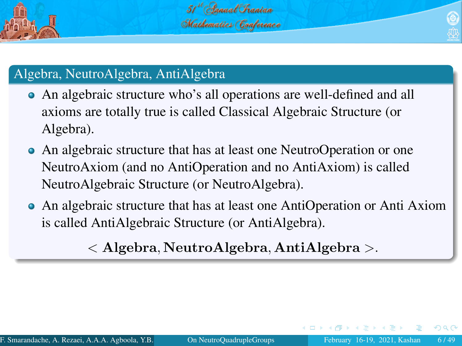

# Algebra, NeutroAlgebra, AntiAlgebra

- An algebraic structure who's all operations are well-defined and all axioms are totally true is called Classical Algebraic Structure (or Algebra).
- An algebraic structure that has at least one NeutroOperation or one NeutroAxiom (and no AntiOperation and no AntiAxiom) is called NeutroAlgebraic Structure (or NeutroAlgebra).
- An algebraic structure that has at least one AntiOperation or Anti Axiom is called AntiAlgebraic Structure (or AntiAlgebra).

<span id="page-5-0"></span>< Algebra, NeutroAlgebra, AntiAlgebra >.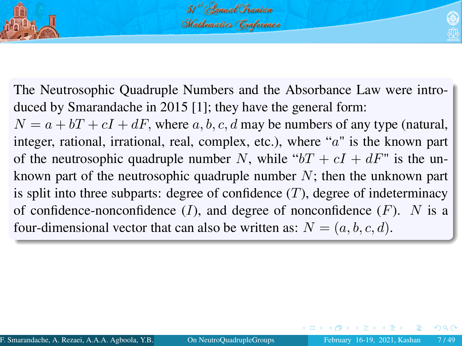

The Neutrosophic Quadruple Numbers and the Absorbance Law were introduced by Smarandache in 2015 [\[1\]](#page-48-1); they have the general form:

<span id="page-6-0"></span> $N = a + bT + cI + dF$ , where a, b, c, d may be numbers of any type (natural, integer, rational, irrational, real, complex, etc.), where "a" is the known part of the neutrosophic quadruple number N, while " $bT + cI + dF$ " is the unknown part of the neutrosophic quadruple number  $N$ ; then the unknown part is split into three subparts: degree of confidence  $(T)$ , degree of indeterminacy of confidence-nonconfidence  $(I)$ , and degree of nonconfidence  $(F)$ . N is a four-dimensional vector that can also be written as:  $N = (a, b, c, d)$ .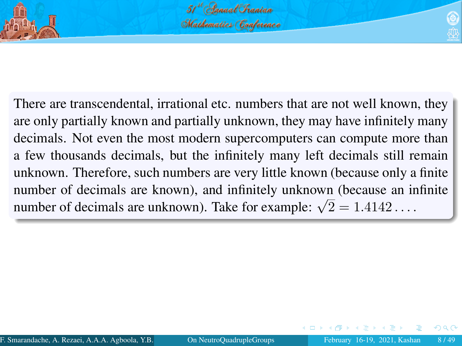

<span id="page-7-0"></span>

There are transcendental, irrational etc. numbers that are not well known, they are only partially known and partially unknown, they may have infinitely many decimals. Not even the most modern supercomputers can compute more than a few thousands decimals, but the infinitely many left decimals still remain unknown. Therefore, such numbers are very little known (because only a finite number of decimals are known), and infinitely unknown (because an infinite number of decimals are known), and immittely unknown (because an in<br>number of decimals are unknown). Take for example:  $\sqrt{2} = 1.4142...$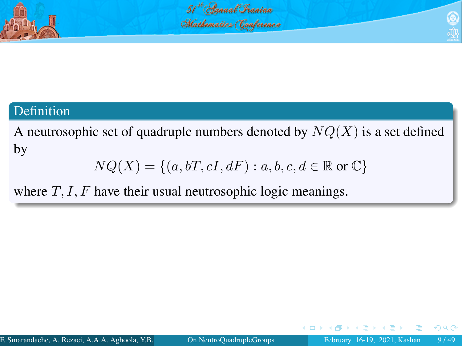

### Definition

A neutrosophic set of quadruple numbers denoted by  $NQ(X)$  is a set defined by

<span id="page-8-0"></span>
$$
NQ(X) = \{(a, bT, cI, dF) : a, b, c, d \in \mathbb{R} \text{ or } \mathbb{C}\}\
$$

where  $T, I, F$  have their usual neutrosophic logic meanings.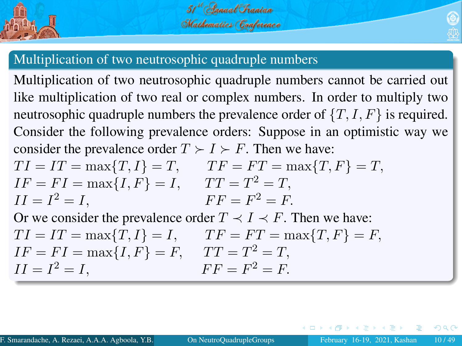



<span id="page-9-0"></span>

## Multiplication of two neutrosophic quadruple numbers

Multiplication of two neutrosophic quadruple numbers cannot be carried out like multiplication of two real or complex numbers. In order to multiply two neutrosophic quadruple numbers the prevalence order of  $\{T, I, F\}$  is required. Consider the following prevalence orders: Suppose in an optimistic way we consider the prevalence order  $T \succ I \succ F$ . Then we have:

$$
TI = IT = \max\{T, I\} = T, \qquad TF = FT = \max\{T, F\} = T,
$$
  
\n
$$
IF = FI = \max\{I, F\} = I, \qquad TT = T^{2} = T,
$$
  
\n
$$
II = I^{2} = I, \qquad FF = F^{2} = F.
$$

Or we consider the prevalence order  $T \prec I \prec F$ . Then we have:  $TI = IT = \max\{T, I\} = I, \qquad TF = FT = \max\{T, F\} = F,$  $IF = FI = \max\{I, F\} = F$ ,  $TT - T^2 - T$ 

$$
II = I2 = I, \tIF = F2 = F.
$$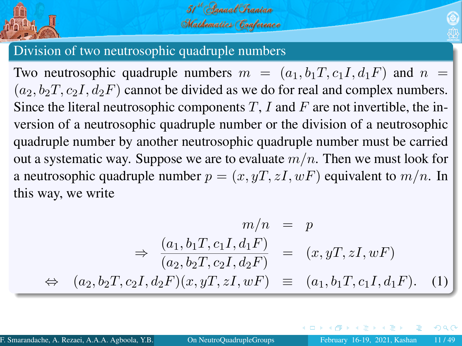

<span id="page-10-0"></span>

### Division of two neutrosophic quadruple numbers

Two neutrosophic quadruple numbers  $m = (a_1, b_1, c_1, d_1, F)$  and  $n =$  $(a_2, b_2T, c_2I, d_2F)$  cannot be divided as we do for real and complex numbers. Since the literal neutrosophic components  $T$ , I and F are not invertible, the inversion of a neutrosophic quadruple number or the division of a neutrosophic quadruple number by another neutrosophic quadruple number must be carried out a systematic way. Suppose we are to evaluate  $m/n$ . Then we must look for a neutrosophic quadruple number  $p = (x, yT, zI, wF)$  equivalent to  $m/n$ . In this way, we write

$$
m/n = p
$$
  
\n
$$
\Rightarrow \frac{(a_1, b_1T, c_1I, d_1F)}{(a_2, b_2T, c_2I, d_2F)} = (x, yT, zI, wF)
$$
  
\n
$$
\Leftrightarrow (a_2, b_2T, c_2I, d_2F)(x, yT, zI, wF) = (a_1, b_1T, c_1I, d_1F).
$$
 (1)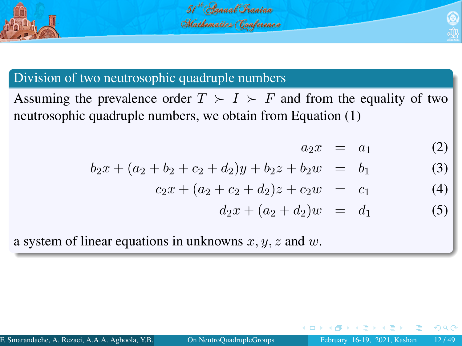

# 51 Canual Chanian Mathematics (Conference

# Division of two neutrosophic quadruple numbers

Assuming the prevalence order  $T > I > F$  and from the equality of two neutrosophic quadruple numbers, we obtain from Equation (1)

<span id="page-11-0"></span>
$$
a_2x = a_1 \tag{2}
$$

$$
b_2x + (a_2 + b_2 + c_2 + d_2)y + b_2z + b_2w = b_1
$$
 (3)

$$
c_2x + (a_2 + c_2 + d_2)z + c_2w = c_1 \tag{4}
$$

$$
d_2x + (a_2 + d_2)w = d_1 \tag{5}
$$

a system of linear equations in unknowns  $x, y, z$  and  $w$ .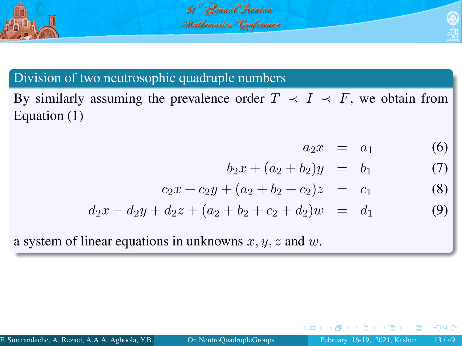

## Division of two neutrosophic quadruple numbers

By similarly assuming the prevalence order  $T \prec I \prec F$ , we obtain from Equation (1)

<span id="page-12-0"></span>
$$
a_2x = a_1 \tag{6}
$$

$$
b_2x + (a_2 + b_2)y = b_1 \tag{7}
$$

$$
c_2x + c_2y + (a_2 + b_2 + c_2)z = c_1 \tag{8}
$$

$$
d_2x + d_2y + d_2z + (a_2 + b_2 + c_2 + d_2)w = d_1 \tag{9}
$$

a system of linear equations in unknowns  $x, y, z$  and  $w$ .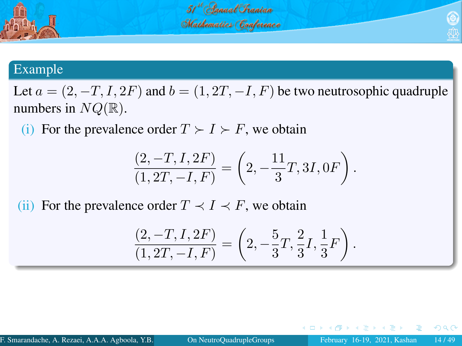

### Example

Let  $a = (2, -T, I, 2F)$  and  $b = (1, 2T, -I, F)$  be two neutrosophic quadruple numbers in  $NQ(\mathbb{R})$ .

(i) For the prevalence order  $T \succ I \succ F$ , we obtain

$$
\frac{(2, -T, I, 2F)}{(1, 2T, -I, F)} = \left(2, -\frac{11}{3}T, 3I, 0F\right).
$$

(ii) For the prevalence order  $T \prec I \prec F$ , we obtain

<span id="page-13-0"></span>
$$
\frac{(2, -T, I, 2F)}{(1, 2T, -I, F)} = \left(2, -\frac{5}{3}T, \frac{2}{3}I, \frac{1}{3}F\right).
$$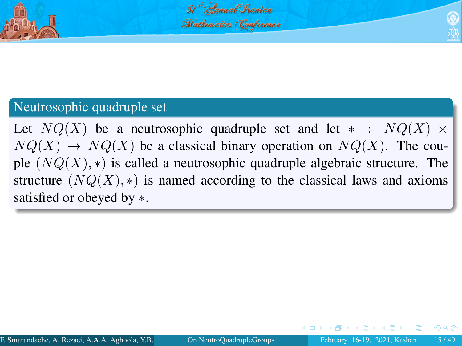

### Neutrosophic quadruple set

<span id="page-14-0"></span>Let  $NQ(X)$  be a neutrosophic quadruple set and let  $*$  :  $NQ(X) \times$  $NQ(X) \rightarrow NQ(X)$  be a classical binary operation on  $NQ(X)$ . The couple  $(NQ(X), *)$  is called a neutrosophic quadruple algebraic structure. The structure  $(NQ(X), *)$  is named according to the classical laws and axioms satisfied or obeyed by ∗.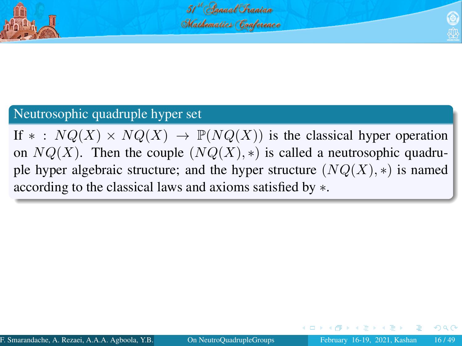

### Neutrosophic quadruple hyper set

If \* :  $NQ(X) \times NQ(X) \rightarrow \mathbb{P}(NQ(X))$  is the classical hyper operation on  $NQ(X)$ . Then the couple  $(NQ(X), *)$  is called a neutrosophic quadruple hyper algebraic structure; and the hyper structure  $(NQ(X), *)$  is named according to the classical laws and axioms satisfied by ∗.

<span id="page-15-0"></span>つひひ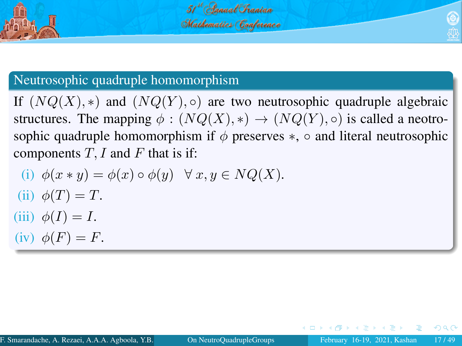

# Neutrosophic quadruple homomorphism

If  $(NQ(X), *)$  and  $(NQ(Y), \circ)$  are two neutrosophic quadruple algebraic structures. The mapping  $\phi : (NQ(X), *) \rightarrow (NQ(Y), \circ)$  is called a neotrosophic quadruple homomorphism if  $\phi$  preserves  $\ast$ ,  $\circ$  and literal neutrosophic components  $T$ , I and F that is if:

<span id="page-16-0"></span>(i) 
$$
\phi(x * y) = \phi(x) \circ \phi(y) \quad \forall x, y \in NQ(X)
$$
.  
\n(ii)  $\phi(T) = T$ .  
\n(iii)  $\phi(I) = I$ .  
\n(iv)  $\phi(F) = F$ .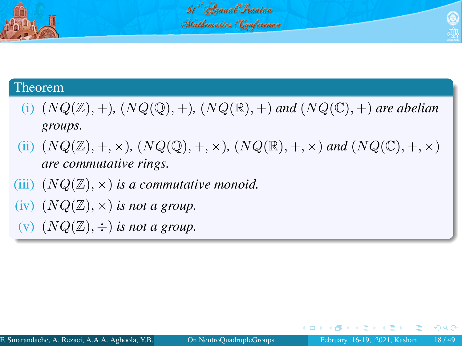

### 51<sup>st</sup> Annual Chanian Mathematics (Conference

### Theorem

- (i)  $(NQ(\mathbb{Z}), +)$ ,  $(NQ(\mathbb{Q}), +)$ ,  $(NQ(\mathbb{R}), +)$  and  $(NQ(\mathbb{C}), +)$  are abelian *groups.*
- (ii)  $(NQ(\mathbb{Z}), +, \times)$ ,  $(NQ(\mathbb{Q}), +, \times)$ ,  $(NQ(\mathbb{R}), +, \times)$  and  $(NQ(\mathbb{C}), +, \times)$ *are commutative rings.*
- (iii)  $(NQ(\mathbb{Z}), \times)$  *is a commutative monoid.*
- (iv)  $(NQ(\mathbb{Z}), \times)$  *is not a group.*
- (v)  $(NQ(\mathbb{Z}), \div)$  *is not a group.*

<span id="page-17-0"></span>3 D X 3 D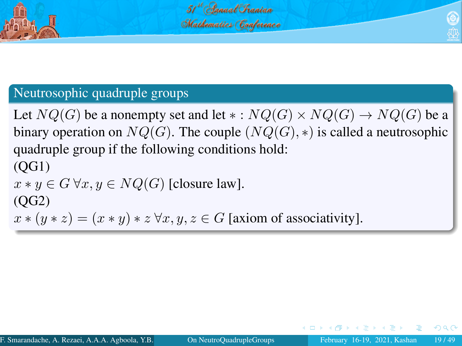

<span id="page-18-0"></span>

# Neutrosophic quadruple groups

Let  $NQ(G)$  be a nonempty set and let  $\ast: NQ(G) \times NQ(G) \rightarrow NQ(G)$  be a binary operation on  $NQ(G)$ . The couple  $(NQ(G), *)$  is called a neutrosophic quadruple group if the following conditions hold: (QG1)  $x * y \in G \forall x, y \in NQ(G)$  [closure law].  $(OG2)$  $x * (y * z) = (x * y) * z \forall x, y, z \in G$  [axiom of associativity].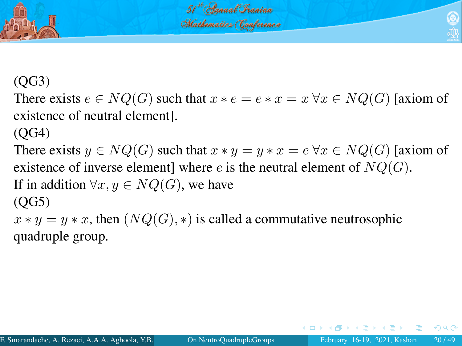

# (QG3)

There exists  $e \in NQ(G)$  such that  $x * e = e * x = x \forall x \in NQ(G)$  [axiom of existence of neutral element].

(QG4)

There exists  $y \in NQ(G)$  such that  $x * y = y * x = e \forall x \in NQ(G)$  [axiom of existence of inverse element] where e is the neutral element of  $NQ(G)$ . If in addition  $\forall x, y \in NO(G)$ , we have  $(OG5)$ 

 $x * y = y * x$ , then  $(NQ(G), *)$  is called a commutative neutrosophic quadruple group.

<span id="page-19-0"></span>つひひ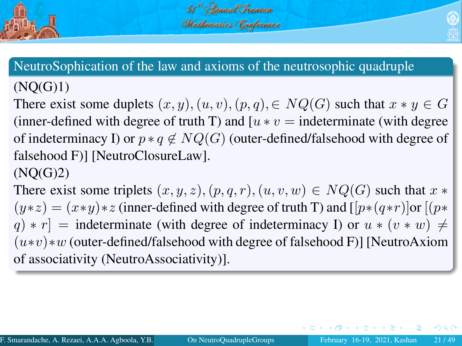



# $(NO(G)1)$

There exist some duplets  $(x, y), (u, v), (p, q), \in NQ(G)$  such that  $x * y \in G$ (inner-defined with degree of truth T) and  $[u * v =$  indeterminate (with degree of indeterminacy I) or  $p * q \notin NQ(G)$  (outer-defined/falsehood with degree of falsehood F)] [NeutroClosureLaw].

# $(NO(G)2)$

There exist some triplets  $(x, y, z), (p, q, r), (u, v, w) \in NQ(G)$  such that  $x *$  $(y * z) = (x * y) * z$  (inner-defined with degree of truth T) and  $[ [p * (q * r)]$ or  $[(p * q * r)]$  $q$ ) \* r] = indeterminate (with degree of indeterminacy I) or  $u * (v * w) \neq$  $(u*v)*w$  (outer-defined/falsehood with degree of falsehood F)] [NeutroAxiom of associativity (NeutroAssociativity)].

<span id="page-20-0"></span> $\Omega$ 

 $\mathbb{R}^n \times \mathbb{R}^n \xrightarrow{\sim} \mathbb{R}^n \times \mathbb{R}^n$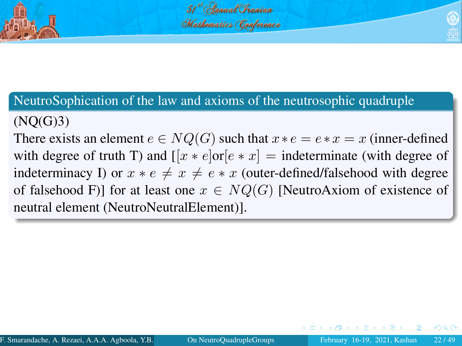

# $(NO(G)3)$

There exists an element  $e \in NQ(G)$  such that  $x * e = e * x = x$  (inner-defined with degree of truth T) and  $[ [x * e] \text{or} [e * x] = \text{indeterminate}$  (with degree of indeterminacy I) or  $x * e \neq x \neq e * x$  (outer-defined/falsehood with degree of falsehood F)] for at least one  $x \in NQ(G)$  [NeutroAxiom of existence of neutral element (NeutroNeutralElement)].

<span id="page-21-0"></span>つひひ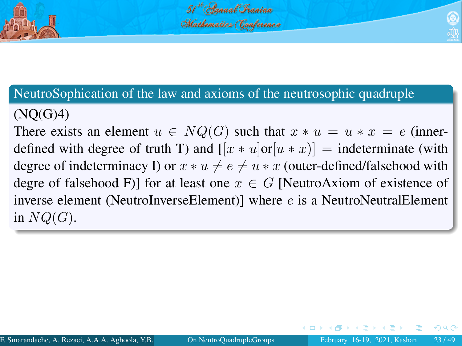

# $(NO(G)4)$

<span id="page-22-0"></span>There exists an element  $u \in NQ(G)$  such that  $x * u = u * x = e$  (innerdefined with degree of truth T) and  $[x * u]$ or $[u * x]$  = indeterminate (with degree of indeterminacy I) or  $x * u \neq e \neq u * x$  (outer-defined/falsehood with degre of falsehood F)] for at least one  $x \in G$  [NeutroAxiom of existence of inverse element (NeutroInverseElement)] where  $e$  is a NeutroNeutralElement in  $NQ(G)$ .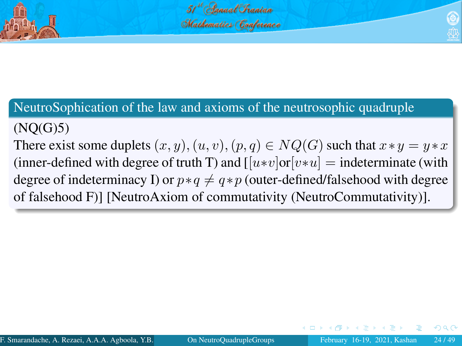

# $(NO(G)5)$

There exist some duplets  $(x, y), (u, v), (p, q) \in NQ(G)$  such that  $x * y = y * x$ (inner-defined with degree of truth T) and  $[|u*v|or|v*u] =$  indeterminate (with degree of indeterminacy I) or  $p * q \neq q * p$  (outer-defined/falsehood with degree of falsehood F)] [NeutroAxiom of commutativity (NeutroCommutativity)].

<span id="page-23-0"></span>つひい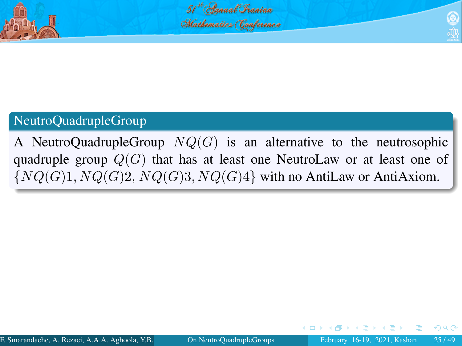



# NeutroQuadrupleGroup

A NeutroQuadrupleGroup  $NQ(G)$  is an alternative to the neutrosophic quadruple group  $Q(G)$  that has at least one NeutroLaw or at least one of  ${NQ(G)1, NQ(G)2, NQ(G)3, NQ(G)4}$  with no AntiLaw or AntiAxiom.

<span id="page-24-0"></span>つひい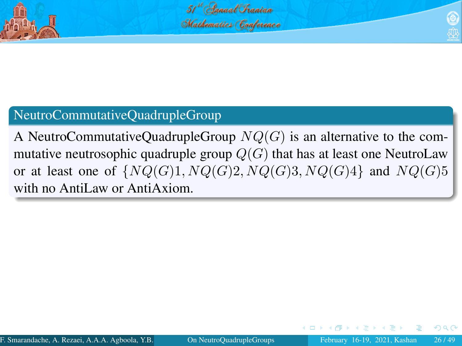



# NeutroCommutativeQuadrupleGroup

A NeutroCommutativeQuadrupleGroup  $NQ(G)$  is an alternative to the commutative neutrosophic quadruple group  $Q(G)$  that has at least one NeutroLaw or at least one of  $\{NQ(G)1, NQ(G)2, NQ(G)3, NQ(G)4\}$  and  $NQ(G)5$ with no AntiLaw or AntiAxiom.

<span id="page-25-0"></span>つひい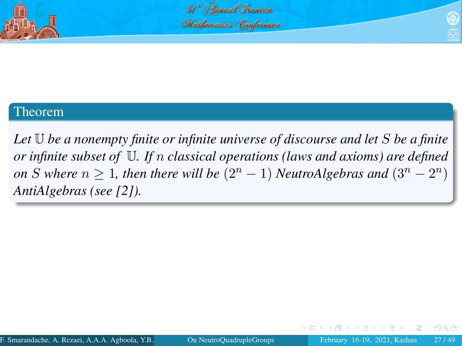

<span id="page-26-0"></span>

### Theorem

*Let* U *be a nonempty finite or infinite universe of discourse and let* S *be a finite or infinite subset of* U*. If* n *classical operations (laws and axioms) are defined on S* where  $n \geq 1$ , then there will be  $(2^n - 1)$  *NeutroAlgebras and*  $(3^n - 2^n)$ *AntiAlgebras (see [\[2\]](#page-47-0)).*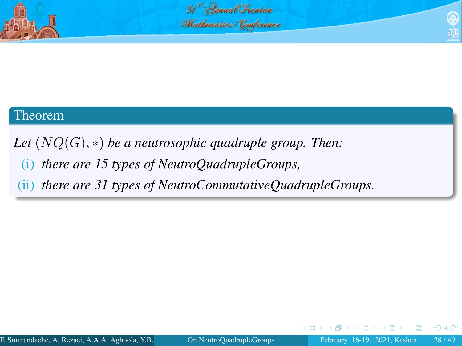

51 Canual Chanian Mathematics (Conference

### Theorem

*Let* (NQ(G), ∗) *be a neutrosophic quadruple group. Then:*

(i) *there are 15 types of NeutroQuadrupleGroups,*

(ii) *there are 31 types of NeutroCommutativeQuadrupleGroups.*

<span id="page-27-0"></span>4 D F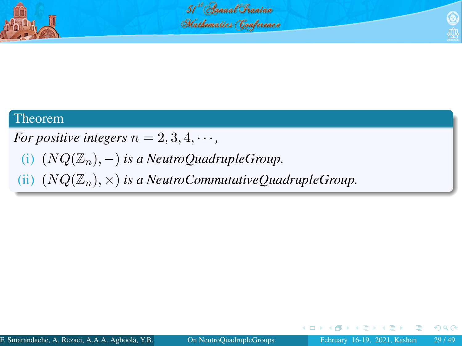

51 Canual Chanian Mathematics (Conference



*For positive integers*  $n = 2, 3, 4, \cdots$ ,

(i)  $(NQ(\mathbb{Z}_n),-)$  *is a NeutroQuadrupleGroup.* 

(ii)  $(NQ(\mathbb{Z}_n), \times)$  *is a NeutroCommutativeQuadrupleGroup.* 

<span id="page-28-0"></span>4 D F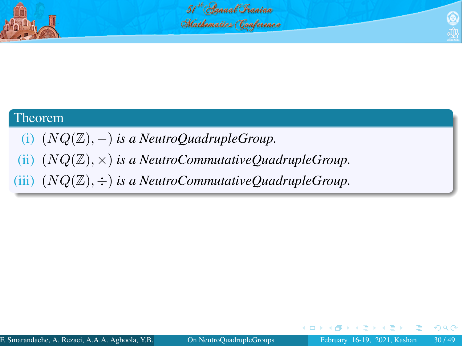

### Theorem

- (i) (NQ(Z), −) *is a NeutroQuadrupleGroup.*
- (ii) (NQ(Z), ×) *is a NeutroCommutativeQuadrupleGroup.*
- (iii)  $(NQ(\mathbb{Z}), \div)$  *is a NeutroCommutativeQuadrupleGroup.*

<span id="page-29-0"></span>4 D F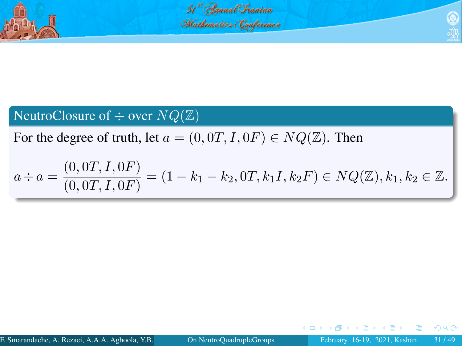

<span id="page-30-0"></span>51 danual Chanian Mathematics Conference

# NeutroClosure of  $\div$  over  $NQ(\mathbb{Z})$

For the degree of truth, let  $a = (0, 0T, I, 0F) \in NQ(\mathbb{Z})$ . Then

$$
a \div a = \frac{(0,0T, I,0F)}{(0,0T, I,0F)} = (1 - k_1 - k_2,0T, k_1I, k_2F) \in NQ(\mathbb{Z}), k_1, k_2 \in \mathbb{Z}.
$$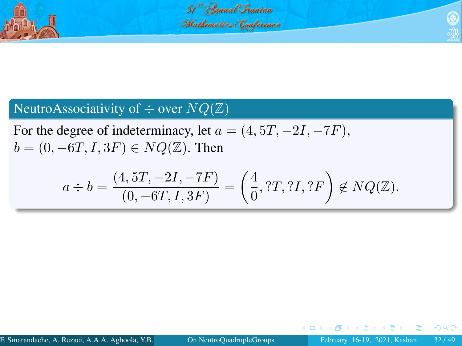

51 Canual Chanian Mathematics (Conference

# NeutroAssociativity of  $\div$  over  $NQ(\mathbb{Z})$

For the degree of indeterminacy, let  $a = (4, 5T, -2I, -7F)$ ,  $b = (0, -6T, I, 3F) \in NQ(\mathbb{Z})$ . Then

$$
a \div b = \frac{(4, 5T, -2I, -7F)}{(0, -6T, I, 3F)} = \left(\frac{4}{0}, ?T, ?I, ?F\right) \notin NQ(\mathbb{Z}).
$$

<span id="page-31-0"></span> $\leftarrow$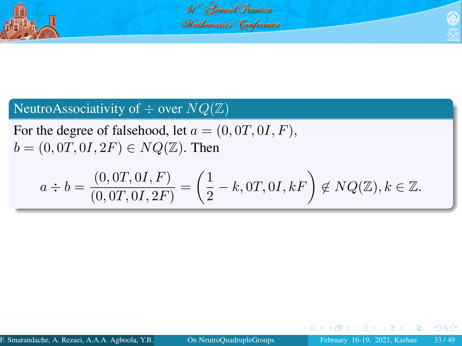

51<sup>st</sup> (Innual Chanian Mathematics Conference

# NeutroAssociativity of  $\div$  over  $NQ(\mathbb{Z})$

For the degree of falsehood, let  $a = (0, 0T, 0I, F)$ ,  $b = (0, 0T, 0I, 2F) \in NQ(\mathbb{Z})$ . Then

$$
a \div b = \frac{(0,0T,0I,F)}{(0,0T,0I,2F)} = \left(\frac{1}{2} - k,0T,0I,kF\right) \notin NQ(\mathbb{Z}), k \in \mathbb{Z}.
$$

<span id="page-32-0"></span>4 D F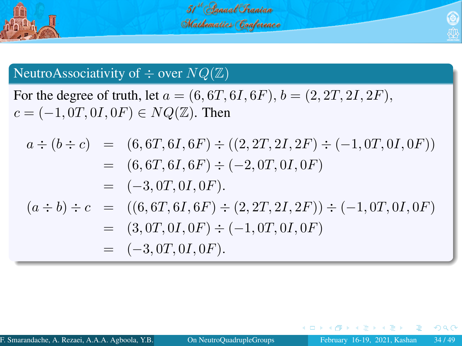

# 51<sup>st</sup> (Innual Chanian Mathematics Conference

## NeutroAssociativity of  $\div$  over  $NQ(\mathbb{Z})$

For the degree of truth, let  $a = (6, 6T, 6I, 6F), b = (2, 2T, 2I, 2F)$ ,  $c = (-1, 0T, 0I, 0F) \in NQ(\mathbb{Z})$ . Then

$$
a \div (b \div c) = (6, 6T, 6I, 6F) \div ((2, 2T, 2I, 2F) \div (-1, 0T, 0I, 0F))
$$
  
\n
$$
= (6, 6T, 6I, 6F) \div (-2, 0T, 0I, 0F)
$$
  
\n
$$
= (-3, 0T, 0I, 0F).
$$
  
\n
$$
(a \div b) \div c = ((6, 6T, 6I, 6F) \div (2, 2T, 2I, 2F)) \div (-1, 0T, 0I, 0F)
$$
  
\n
$$
= (3, 0T, 0I, 0F) \div (-1, 0T, 0I, 0F)
$$
  
\n
$$
= (-3, 0T, 0I, 0F).
$$

<span id="page-33-0"></span> $\leftarrow$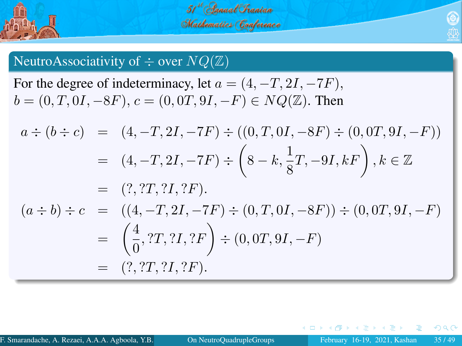

<span id="page-34-0"></span>51 Canual Chanian Mathematics (Conference

## NeutroAssociativity of  $\div$  over  $NQ(\mathbb{Z})$

For the degree of indeterminacy, let  $a = (4, -T, 2I, -7F)$ ,  $b = (0, T, 0I, -8F), c = (0, 0T, 9I, -F) \in NQ(\mathbb{Z})$ . Then

$$
a \div (b \div c) = (4, -T, 2I, -7F) \div ((0, T, 0I, -8F) \div (0, 0T, 9I, -F))
$$
  
\n
$$
= (4, -T, 2I, -7F) \div (8 - k, \frac{1}{8}T, -9I, kF), k \in \mathbb{Z}
$$
  
\n
$$
= (?, ?T, ?I, ?F).
$$
  
\n
$$
(a \div b) \div c = ((4, -T, 2I, -7F) \div (0, T, 0I, -8F)) \div (0, 0T, 9I, -F)
$$
  
\n
$$
= \left(\frac{4}{0}, ?T, ?I, ?F\right) \div (0, 0T, 9I, -F)
$$
  
\n
$$
= (?, ?T, ?I, ?F).
$$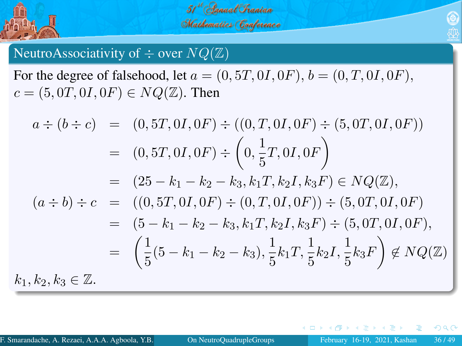

51 Canual Chanian Mathematics (Conference

# NeutroAssociativity of  $\div$  over  $NQ(\mathbb{Z})$

For the degree of falsehood, let  $a = (0, 5T, 0I, 0F)$ ,  $b = (0, T, 0I, 0F)$ ,  $c = (5, 0T, 0I, 0F) \in NQ(\mathbb{Z})$ . Then

$$
a \div (b \div c) = (0, 5T, 0I, 0F) \div ((0, T, 0I, 0F) \div (5, 0T, 0I, 0F))
$$
  
\n
$$
= (0, 5T, 0I, 0F) \div \left(0, \frac{1}{5}T, 0I, 0F\right)
$$
  
\n
$$
= (25 - k_1 - k_2 - k_3, k_1T, k_2I, k_3F) \in NQ(\mathbb{Z}),
$$
  
\n
$$
(a \div b) \div c = ((0, 5T, 0I, 0F) \div (0, T, 0I, 0F)) \div (5, 0T, 0I, 0F)
$$
  
\n
$$
= (5 - k_1 - k_2 - k_3, k_1T, k_2I, k_3F) \div (5, 0T, 0I, 0F),
$$
  
\n
$$
= \left(\frac{1}{5}(5 - k_1 - k_2 - k_3), \frac{1}{5}k_1T, \frac{1}{5}k_2I, \frac{1}{5}k_3F\right) \notin NQ(\mathbb{Z})
$$
  
\n
$$
k_1, k_2, k_3 \in \mathbb{Z}.
$$

<span id="page-35-0"></span> $\leftarrow$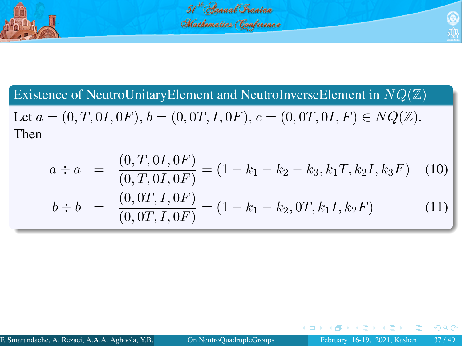

51 Channal Chanian Mathematics (Conference

<span id="page-36-0"></span>

Existence of NeutroUnitaryElement and NeutroInverseElement in  $NQ(\mathbb{Z})$ 

Let  $a = (0, T, 0I, 0F), b = (0, 0T, I, 0F), c = (0, 0T, 0I, F) \in NQ(\mathbb{Z}).$ Then

$$
a \div a = \frac{(0, T, 0, 0F)}{(0, T, 0, 0F)} = (1 - k_1 - k_2 - k_3, k_1T, k_2I, k_3F) \quad (10)
$$

$$
b \div b = \frac{(0, 0T, I, 0F)}{(0, 0T, I, 0F)} = (1 - k_1 - k_2, 0T, k_1I, k_2F) \quad (11)
$$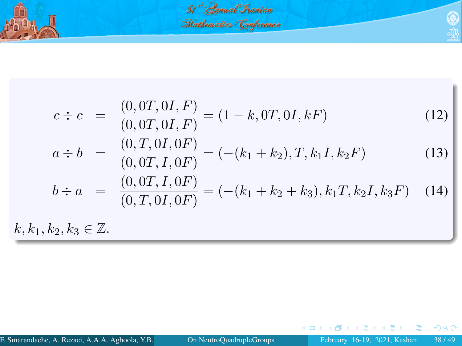

$$
c \div c = \frac{(0,0T,0I,F)}{(0,0T,0I,F)} = (1-k,0T,0I,kF)
$$
(12)  
\n
$$
a \div b = \frac{(0,T,0I,0F)}{(0,0T,I,0F)} = (-\left(k_1+k_2\right),T,k_1I,k_2F)
$$
(13)  
\n
$$
b \div a = \frac{(0,0T,1,0F)}{(0,T,0I,0F)} = (-\left(k_1+k_2+k_3\right),k_1T,k_2I,k_3F)
$$
(14)  
\n
$$
k, k_1, k_2, k_3 \in \mathbb{Z}.
$$

<span id="page-37-0"></span> $299$ 

э

K ロト K 御 ト K 君 ト K 君 ト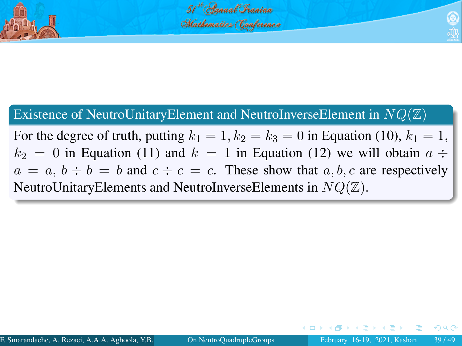

# Existence of NeutroUnitaryElement and NeutroInverseElement in  $NQ(\mathbb{Z})$

<span id="page-38-0"></span>For the degree of truth, putting  $k_1 = 1$ ,  $k_2 = k_3 = 0$  in Equation (10),  $k_1 = 1$ ,  $k_2 = 0$  in Equation (11) and  $k = 1$  in Equation (12) we will obtain  $a \div$  $a = a, b \div b = b$  and  $c \div c = c$ . These show that a, b, c are respectively NeutroUnitaryElements and NeutroInverseElements in  $NQ(\mathbb{Z})$ .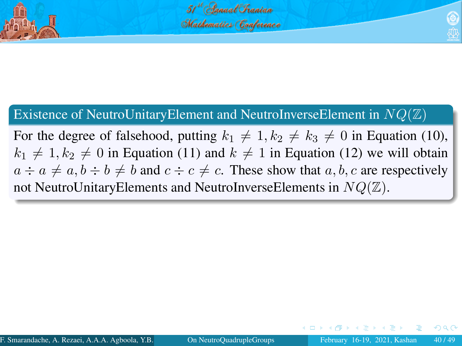

# Existence of NeutroUnitaryElement and NeutroInverseElement in  $NQ(\mathbb{Z})$

<span id="page-39-0"></span>For the degree of falsehood, putting  $k_1 \neq 1, k_2 \neq k_3 \neq 0$  in Equation (10),  $k_1 \neq 1, k_2 \neq 0$  in Equation (11) and  $k \neq 1$  in Equation (12) we will obtain  $a \div a \neq a, b \div b \neq b$  and  $c \div c \neq c$ . These show that a, b, c are respectively not NeutroUnitaryElements and NeutroInverseElements in  $NQ(\mathbb{Z})$ .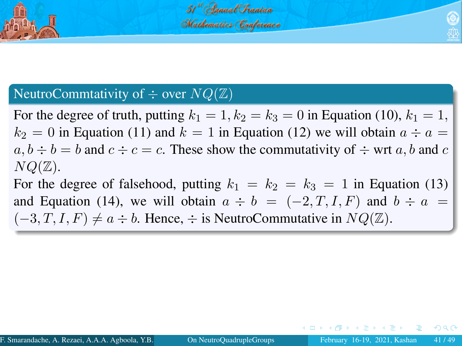

<span id="page-40-0"></span>

# NeutroCommtativity of  $\div$  over  $NQ(\mathbb{Z})$

For the degree of truth, putting  $k_1 = 1$ ,  $k_2 = k_3 = 0$  in Equation (10),  $k_1 = 1$ ,  $k_2 = 0$  in Equation (11) and  $k = 1$  in Equation (12) we will obtain  $a \div a =$  $a, b \div b = b$  and  $c \div c = c$ . These show the commutativity of  $\div$  wrt a, b and c  $NQ(\mathbb{Z})$ .

For the degree of falsehood, putting  $k_1 = k_2 = k_3 = 1$  in Equation (13) and Equation (14), we will obtain  $a \div b = (-2, T, I, F)$  and  $b \div a =$  $(-3, T, I, F) \neq a \div b$ . Hence,  $\div$  is NeutroCommutative in  $NQ(\mathbb{Z})$ .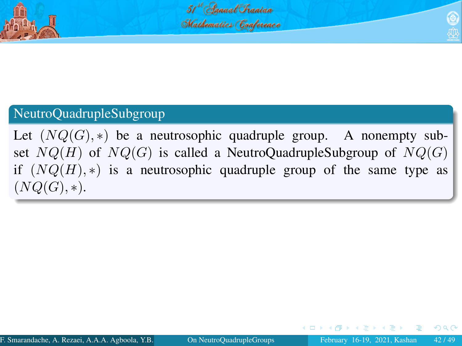

# NeutroQuadrupleSubgroup

<span id="page-41-0"></span>Let  $(NQ(G), *)$  be a neutrosophic quadruple group. A nonempty subset  $NQ(H)$  of  $NQ(G)$  is called a NeutroQuadrupleSubgroup of  $NQ(G)$ if  $(NQ(H), *)$  is a neutrosophic quadruple group of the same type as  $(NO(G), *)$ .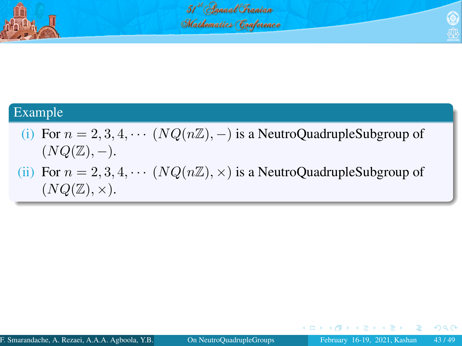

<span id="page-42-0"></span>51<sup>st</sup> Annual Chanian Mathematics (Conference

### Example

- (i) For  $n = 2, 3, 4, \cdots (NQ(n\mathbb{Z}), -)$  is a NeutroQuadrupleSubgroup of  $(NQ(\mathbb{Z}), -).$
- (ii) For  $n = 2, 3, 4, \cdots (NQ(n\mathbb{Z}), \times)$  is a NeutroQuadrupleSubgroup of  $(NQ(\mathbb{Z}), \times).$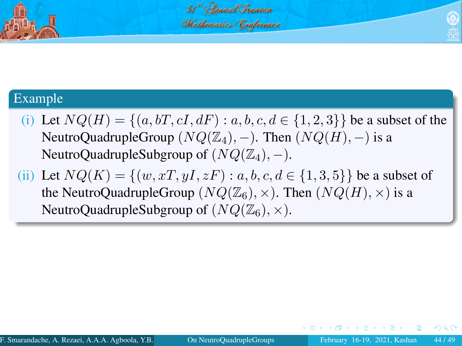

### Example

- (i) Let  $NQ(H) = \{(a, bT, cI, dF) : a, b, c, d \in \{1, 2, 3\}\}\)$  be a subset of the NeutroQuadrupleGroup  $(NQ(\mathbb{Z}_4), -)$ . Then  $(NQ(H), -)$  is a NeutroQuadrupleSubgroup of  $(NQ(\mathbb{Z}_4), -)$ .
- <span id="page-43-0"></span>(ii) Let  $NQ(K) = \{(w, xT, yI, zF) : a, b, c, d \in \{1, 3, 5\}\}\)$  be a subset of the NeutroQuadrupleGroup ( $NQ(\mathbb{Z}_6)$ ,  $\times$ ). Then ( $NQ(H)$ ,  $\times$ ) is a NeutroQuadrupleSubgroup of  $(NQ(\mathbb{Z}_6), \times)$ .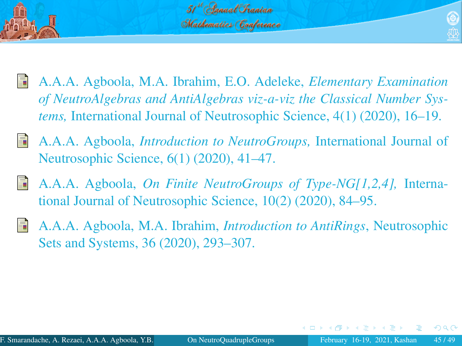

- <span id="page-44-0"></span>
- A.A.A. Agboola, M.A. Ibrahim, E.O. Adeleke, *Elementary Examination of NeutroAlgebras and AntiAlgebras viz-a-viz the Classical Number Systems,* International Journal of Neutrosophic Science, 4(1) (2020), 16–19.
- A.A.A. Agboola, *Introduction to NeutroGroups,* International Journal of Neutrosophic Science, 6(1) (2020), 41–47.
- A.A.A. Agboola, *On Finite NeutroGroups of Type-NG[1,2,4],* International Journal of Neutrosophic Science, 10(2) (2020), 84–95.
- A.A.A. Agboola, M.A. Ibrahim, *Introduction to AntiRings*, Neutrosophic Sets and Systems, 36 (2020), 293–307.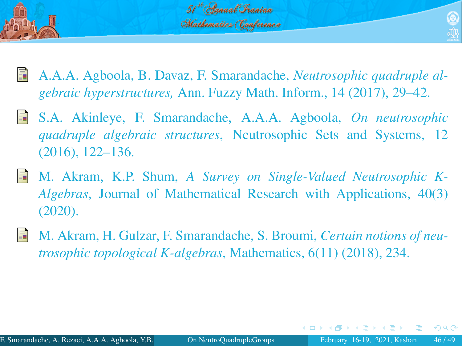

- 
- A.A.A. Agboola, B. Davaz, F. Smarandache, *Neutrosophic quadruple algebraic hyperstructures,* Ann. Fuzzy Math. Inform., 14 (2017), 29–42.
- S.A. Akinleye, F. Smarandache, A.A.A. Agboola, *On neutrosophic quadruple algebraic structures*, Neutrosophic Sets and Systems, 12 (2016), 122–136.
- M. Akram, K.P. Shum, *A Survey on Single-Valued Neutrosophic K-Algebras*, Journal of Mathematical Research with Applications, 40(3) (2020).
- M. Akram, H. Gulzar, F. Smarandache, S. Broumi, *Certain notions of neutrosophic topological K-algebras*, Mathematics, 6(11) (2018), 234.

<span id="page-45-0"></span> $209$ 

 $\mathbb{R} \rightarrow \mathbb{R} \xrightarrow{\sim} \mathbb{R} \rightarrow \mathbb{R} \xrightarrow{\sim} \mathbb{R}$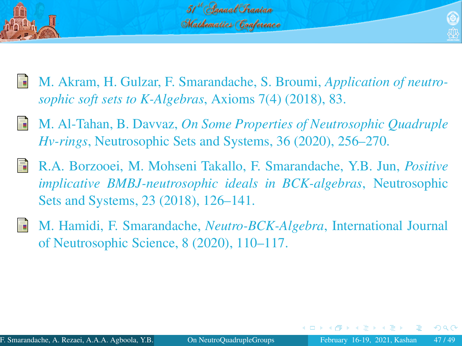

- <span id="page-46-0"></span>
- M. Akram, H. Gulzar, F. Smarandache, S. Broumi, *Application of neutrosophic soft sets to K-Algebras*, Axioms 7(4) (2018), 83.
- F M. Al-Tahan, B. Davvaz, *On Some Properties of Neutrosophic Quadruple Hv-rings*, Neutrosophic Sets and Systems, 36 (2020), 256–270.
- R.A. Borzooei, M. Mohseni Takallo, F. Smarandache, Y.B. Jun, *Positive implicative BMBJ-neutrosophic ideals in BCK-algebras*, Neutrosophic Sets and Systems, 23 (2018), 126–141.
- M. Hamidi, F. Smarandache, *Neutro-BCK-Algebra*, International Journal of Neutrosophic Science, 8 (2020), 110–117.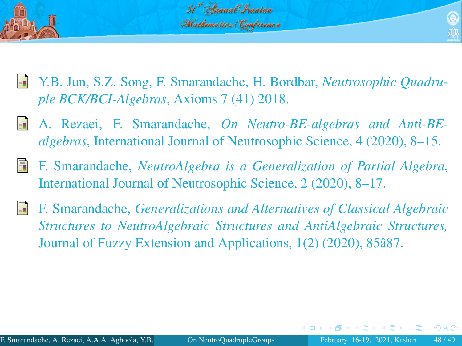

- <span id="page-47-1"></span>
- Y.B. Jun, S.Z. Song, F. Smarandache, H. Bordbar, *Neutrosophic Quadruple BCK/BCI-Algebras*, Axioms 7 (41) 2018.
- <span id="page-47-0"></span>A. Rezaei, F. Smarandache, *On Neutro-BE-algebras and Anti-BEalgebras*, International Journal of Neutrosophic Science, 4 (2020), 8–15.
- F. Smarandache, *NeutroAlgebra is a Generalization of Partial Algebra*, International Journal of Neutrosophic Science, 2 (2020), 8–17.
- F. Smarandache, *Generalizations and Alternatives of Classical Algebraic Structures to NeutroAlgebraic Structures and AntiAlgebraic Structures,* Journal of Fuzzy Extension and Applications, 1(2) (2020), 85â87.